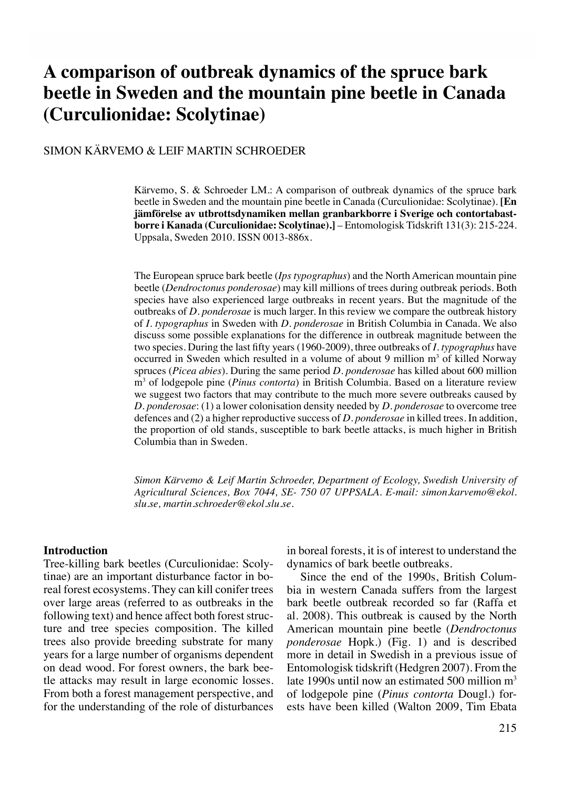# **A comparison of outbreak dynamics of the spruce bark beetle in Sweden and the mountain pine beetle in Canada (Curculionidae: Scolytinae)**

# Simon Kärvemo & Leif Martin Schroeder

Kärvemo, S. & Schroeder LM.: A comparison of outbreak dynamics of the spruce bark beetle in Sweden and the mountain pine beetle in Canada (Curculionidae: Scolytinae). **[En jämförelse av utbrottsdynamiken mellan granbarkborre i Sverige och contortabastborre i Kanada (Curculionidae: Scolytinae).]** – Entomologisk Tidskrift 131(3): 215-224. Uppsala, Sweden 2010. ISSN 0013-886x.

The European spruce bark beetle (*Ips typographus*) and the North American mountain pine beetle (*Dendroctonus ponderosae*) may kill millions of trees during outbreak periods. Both species have also experienced large outbreaks in recent years. But the magnitude of the outbreaks of *D. ponderosae* is much larger. In this review we compare the outbreak history of *I. typographus* in Sweden with *D. ponderosae* in British Columbia in Canada. We also discuss some possible explanations for the difference in outbreak magnitude between the two species. During the last fifty years (1960-2009), three outbreaks of *I. typographus* have occurred in Sweden which resulted in a volume of about 9 million m<sup>3</sup> of killed Norway spruces (*Picea abies*). During the same period *D. ponderosae* has killed about 600 million m3 of lodgepole pine (*Pinus contorta*) in British Columbia. Based on a literature review we suggest two factors that may contribute to the much more severe outbreaks caused by *D. ponderosae*: (1) a lower colonisation density needed by *D. ponderosae* to overcome tree defences and (2) a higher reproductive success of *D. ponderosae* in killed trees. In addition, the proportion of old stands, susceptible to bark beetle attacks, is much higher in British Columbia than in Sweden.

*Simon Kärvemo & Leif Martin Schroeder, Department of Ecology, Swedish University of Agricultural Sciences, Box 7044, SE- 750 07 UPPSALA. E-mail: simon.karvemo@ekol. slu.se, martin.schroeder@ekol.slu.se.*

#### **Introduction**

Tree-killing bark beetles (Curculionidae: Scolytinae) are an important disturbance factor in boreal forest ecosystems. They can kill conifer trees over large areas (referred to as outbreaks in the following text) and hence affect both forest structure and tree species composition. The killed trees also provide breeding substrate for many years for a large number of organisms dependent on dead wood. For forest owners, the bark beetle attacks may result in large economic losses. From both a forest management perspective, and for the understanding of the role of disturbances

in boreal forests, it is of interest to understand the dynamics of bark beetle outbreaks.

Since the end of the 1990s, British Columbia in western Canada suffers from the largest bark beetle outbreak recorded so far (Raffa et al. 2008). This outbreak is caused by the North American mountain pine beetle (*Dendroctonus ponderosae* Hopk.) (Fig. 1) and is described more in detail in Swedish in a previous issue of Entomologisk tidskrift (Hedgren 2007). From the late 1990s until now an estimated 500 million  $m<sup>3</sup>$ of lodgepole pine (*Pinus contorta* Dougl.) forests have been killed (Walton 2009, Tim Ebata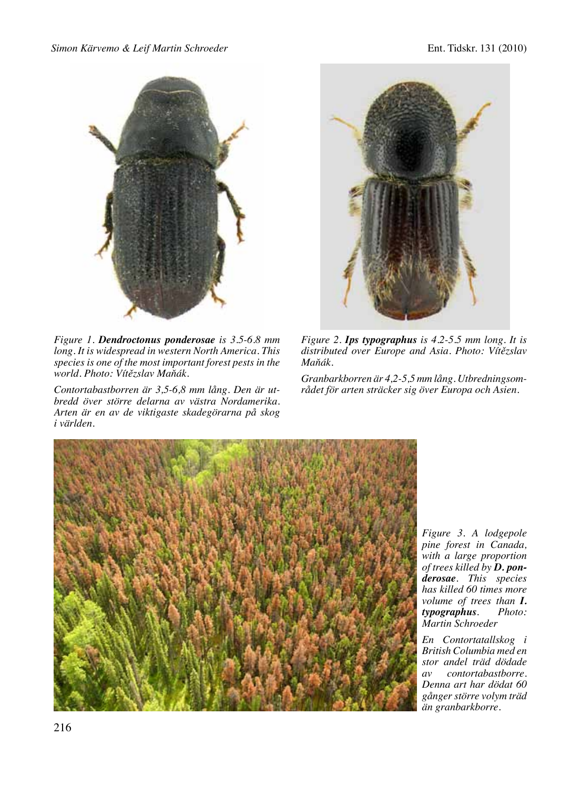

*Figure 1. Dendroctonus ponderosae is 3.5-6.8 mm long. It is widespread in western North America. This species is one of the most important forest pests in the world. Photo: Vítězslav Maňák.*

*Contortabastborren är 3,5-6,8 mm lång. Den är utbredd över större delarna av västra Nordamerika. Arten är en av de viktigaste skadegörarna på skog i världen.* 



*Figure 2. Ips typographus is 4.2-5.5 mm long. It is distributed over Europe and Asia. Photo: Vítězslav Maňák.*

*Granbarkborren är 4,2-5,5 mm lång. Utbredningsområdet för arten sträcker sig över Europa och Asien.* 



*Figure 3. A lodgepole pine forest in Canada, with a large proportion of trees killed by D. ponderosae. This species has killed 60 times more volume of trees than I.*   $$ *Martin Schroeder*

*En Contortatallskog i British Columbia med en stor andel träd dödade*   $contor tabastborre.$ *Denna art har dödat 60 gånger större volym träd än granbarkborre.*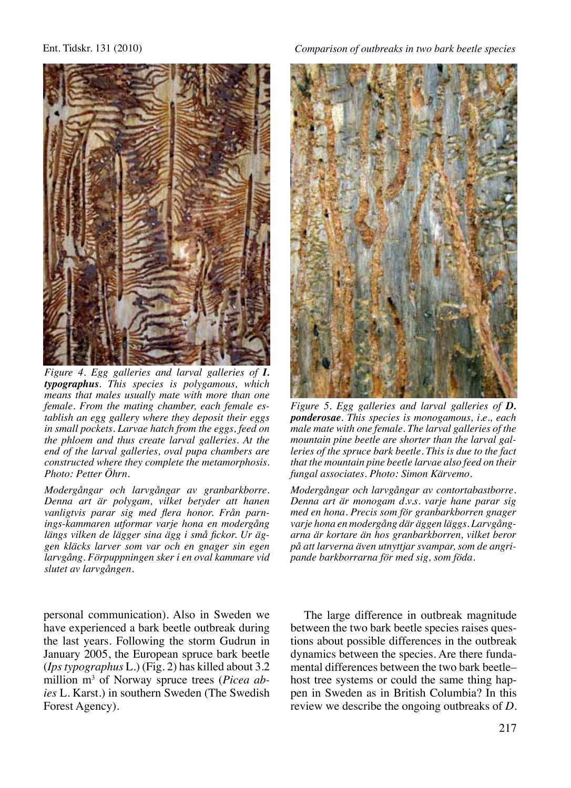

*Figure 4. Egg galleries and larval galleries of I. typographus. This species is polygamous, which means that males usually mate with more than one female. From the mating chamber, each female establish an egg gallery where they deposit their eggs in small pockets. Larvae hatch from the eggs, feed on the phloem and thus create larval galleries. At the end of the larval galleries, oval pupa chambers are constructed where they complete the metamorphosis. Photo: Petter Öhrn.*

*Modergångar och larvgångar av granbarkborre. Denna art är polygam, vilket betyder att hanen vanligtvis parar sig med flera honor. Från parnings-kammaren utformar varje hona en modergång längs vilken de lägger sina ägg i små fickor. Ur äggen kläcks larver som var och en gnager sin egen larvgång. Förpuppningen sker i en oval kammare vid slutet av larvgången.* 

personal communication). Also in Sweden we have experienced a bark beetle outbreak during the last years. Following the storm Gudrun in January 2005, the European spruce bark beetle (*Ips typographus* L.) (Fig. 2) has killed about 3.2 million m3 of Norway spruce trees (*Picea abies* L. Karst.) in southern Sweden (The Swedish Forest Agency).



*Figure 5. Egg galleries and larval galleries of D. ponderosae. This species is monogamous, i.e., each male mate with one female. The larval galleries of the mountain pine beetle are shorter than the larval galleries of the spruce bark beetle. This is due to the fact that the mountain pine beetle larvae also feed on their fungal associates. Photo: Simon Kärvemo.*

*Modergångar och larvgångar av contortabastborre. Denna art är monogam d.v.s. varje hane parar sig med en hona. Precis som för granbarkborren gnager varje hona en modergång där äggen läggs. Larvgångarna är kortare än hos granbarkborren, vilket beror på att larverna även utnyttjar svampar, som de angripande barkborrarna för med sig, som föda.*

The large difference in outbreak magnitude between the two bark beetle species raises questions about possible differences in the outbreak dynamics between the species. Are there fundamental differences between the two bark beetle– host tree systems or could the same thing happen in Sweden as in British Columbia? In this review we describe the ongoing outbreaks of *D.*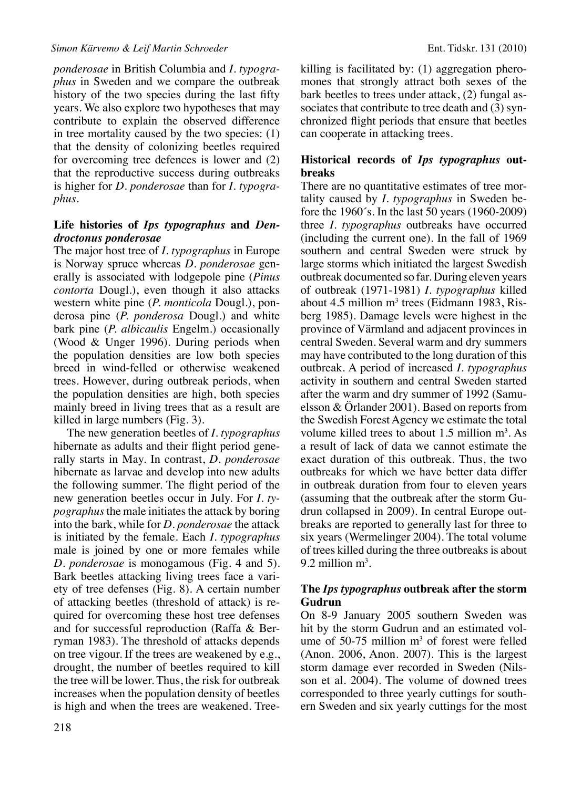*ponderosae* in British Columbia and *I. typographus* in Sweden and we compare the outbreak history of the two species during the last fifty years. We also explore two hypotheses that may contribute to explain the observed difference in tree mortality caused by the two species: (1) that the density of colonizing beetles required for overcoming tree defences is lower and (2) that the reproductive success during outbreaks is higher for *D. ponderosae* than for *I. typographus*.

#### **Life histories of** *Ips typographus* **and** *Dendroctonus ponderosae*

The major host tree of *I. typographus* in Europe is Norway spruce whereas *D. ponderosae* generally is associated with lodgepole pine (*Pinus contorta* Dougl.), even though it also attacks western white pine (*P. monticola* Dougl.), ponderosa pine (*P. ponderosa* Dougl.) and white bark pine (*P. albicaulis* Engelm.) occasionally (Wood & Unger 1996). During periods when the population densities are low both species breed in wind-felled or otherwise weakened trees. However, during outbreak periods, when the population densities are high, both species mainly breed in living trees that as a result are killed in large numbers (Fig. 3).

The new generation beetles of *I. typographus*  hibernate as adults and their flight period generally starts in May. In contrast, *D. ponderosae*  hibernate as larvae and develop into new adults the following summer. The flight period of the new generation beetles occur in July. For *I. typographus* the male initiates the attack by boring into the bark, while for *D. ponderosae* the attack is initiated by the female. Each *I. typographus*  male is joined by one or more females while *D. ponderosae* is monogamous (Fig. 4 and 5). Bark beetles attacking living trees face a variety of tree defenses (Fig. 8). A certain number of attacking beetles (threshold of attack) is required for overcoming these host tree defenses and for successful reproduction (Raffa & Berryman 1983). The threshold of attacks depends on tree vigour. If the trees are weakened by e.g., drought, the number of beetles required to kill the tree will be lower. Thus, the risk for outbreak increases when the population density of beetles is high and when the trees are weakened. Treekilling is facilitated by: (1) aggregation pheromones that strongly attract both sexes of the bark beetles to trees under attack, (2) fungal associates that contribute to tree death and (3) synchronized flight periods that ensure that beetles can cooperate in attacking trees.

# **Historical records of** *Ips typographus* **outbreaks**

There are no quantitative estimates of tree mortality caused by *I. typographus* in Sweden before the 1960´s. In the last 50 years (1960-2009) three *I. typographus* outbreaks have occurred (including the current one). In the fall of 1969 southern and central Sweden were struck by large storms which initiated the largest Swedish outbreak documented so far. During eleven years of outbreak (1971-1981) *I. typographus* killed about  $4.5$  million m<sup>3</sup> trees (Eidmann 1983, Risberg 1985). Damage levels were highest in the province of Värmland and adjacent provinces in central Sweden. Several warm and dry summers may have contributed to the long duration of this outbreak. A period of increased *I. typographus*  activity in southern and central Sweden started after the warm and dry summer of 1992 (Samuelsson & Örlander 2001). Based on reports from the Swedish Forest Agency we estimate the total volume killed trees to about  $1.5$  million  $m<sup>3</sup>$ . As a result of lack of data we cannot estimate the exact duration of this outbreak. Thus, the two outbreaks for which we have better data differ in outbreak duration from four to eleven years (assuming that the outbreak after the storm Gudrun collapsed in 2009). In central Europe outbreaks are reported to generally last for three to six years (Wermelinger 2004). The total volume of trees killed during the three outbreaks is about 9.2 million  $m^3$ .

#### **The** *Ips typographus* **outbreak after the storm Gudrun**

On 8-9 January 2005 southern Sweden was hit by the storm Gudrun and an estimated volume of  $50-75$  million  $m<sup>3</sup>$  of forest were felled (Anon. 2006, Anon. 2007). This is the largest storm damage ever recorded in Sweden (Nilsson et al. 2004). The volume of downed trees corresponded to three yearly cuttings for southern Sweden and six yearly cuttings for the most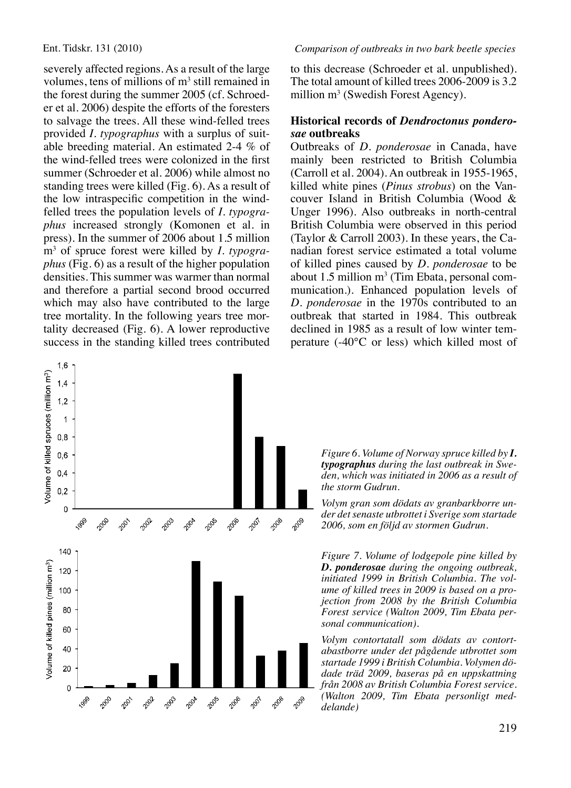severely affected regions. As a result of the large volumes, tens of millions of  $m<sup>3</sup>$  still remained in the forest during the summer 2005 (cf. Schroeder et al. 2006) despite the efforts of the foresters to salvage the trees. All these wind-felled trees provided *I. typographus* with a surplus of suitable breeding material. An estimated 2-4 % of the wind-felled trees were colonized in the first summer (Schroeder et al. 2006) while almost no standing trees were killed (Fig. 6). As a result of the low intraspecific competition in the windfelled trees the population levels of *I. typographus* increased strongly (Komonen et al. in press). In the summer of 2006 about 1.5 million m3 of spruce forest were killed by *I. typographus* (Fig. 6) as a result of the higher population densities. This summer was warmer than normal and therefore a partial second brood occurred which may also have contributed to the large tree mortality. In the following years tree mortality decreased (Fig. 6). A lower reproductive success in the standing killed trees contributed

to this decrease (Schroeder et al. unpublished). The total amount of killed trees 2006-2009 is 3.2 million  $m^3$  (Swedish Forest Agency).

#### **Historical records of** *Dendroctonus ponderosae* **outbreaks**

Outbreaks of *D. ponderosae* in Canada, have mainly been restricted to British Columbia (Carroll et al. 2004). An outbreak in 1955-1965, killed white pines (*Pinus strobus*) on the Vancouver Island in British Columbia (Wood & Unger 1996). Also outbreaks in north-central British Columbia were observed in this period (Taylor & Carroll 2003). In these years, the Canadian forest service estimated a total volume of killed pines caused by *D. ponderosae* to be about  $1.5$  million  $m<sup>3</sup>$  (Tim Ebata, personal communication.). Enhanced population levels of *D. ponderosae* in the 1970s contributed to an outbreak that started in 1984. This outbreak declined in 1985 as a result of low winter temperature (-40°C or less) which killed most of



*Figure 6. Volume of Norway spruce killed by I. typographus during the last outbreak in Sweden, which was initiated in 2006 as a result of the storm Gudrun.* 

*Volym gran som dödats av granbarkborre under det senaste utbrottet i Sverige som startade 2006, som en följd av stormen Gudrun.*

*Figure 7. Volume of lodgepole pine killed by D. ponderosae during the ongoing outbreak, initiated 1999 in British Columbia. The volume of killed trees in 2009 is based on a projection from 2008 by the British Columbia Forest service (Walton 2009, Tim Ebata personal communication).*

*Volym contortatall som dödats av contortabastborre under det pågående utbrottet som startade 1999 i British Columbia. Volymen dödade träd 2009, baseras på en uppskattning från 2008 av British Columbia Forest service. (Walton 2009, Tim Ebata personligt meddelande)*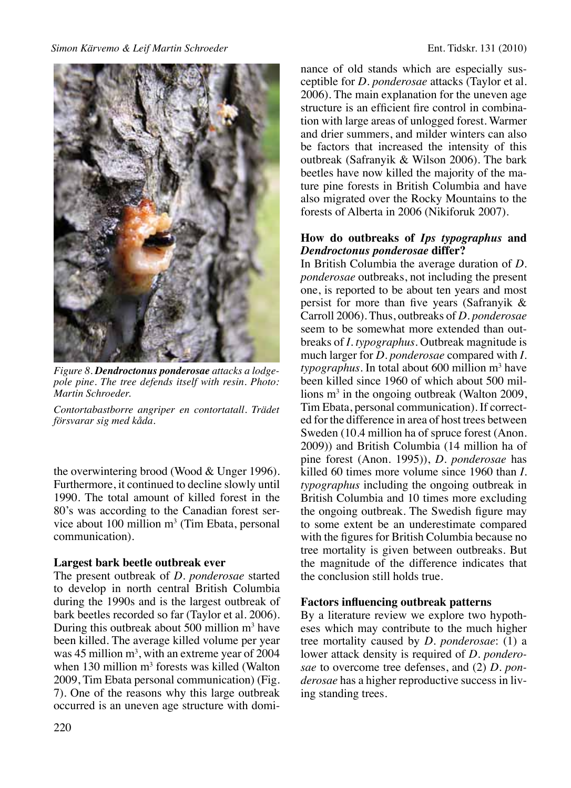

*Figure 8. Dendroctonus ponderosae attacks a lodgepole pine. The tree defends itself with resin. Photo: Martin Schroeder.*

*Contortabastborre angriper en contortatall. Trädet försvarar sig med kåda.*

the overwintering brood (Wood & Unger 1996). Furthermore, it continued to decline slowly until 1990. The total amount of killed forest in the 80's was according to the Canadian forest service about 100 million  $m<sup>3</sup>$  (Tim Ebata, personal communication).

# **Largest bark beetle outbreak ever**

The present outbreak of *D. ponderosae* started to develop in north central British Columbia during the 1990s and is the largest outbreak of bark beetles recorded so far (Taylor et al. 2006). During this outbreak about 500 million  $m<sup>3</sup>$  have been killed. The average killed volume per year was  $45$  million  $m<sup>3</sup>$ , with an extreme year of 2004 when  $130$  million  $m<sup>3</sup>$  forests was killed (Walton 2009, Tim Ebata personal communication) (Fig. 7). One of the reasons why this large outbreak occurred is an uneven age structure with dominance of old stands which are especially susceptible for *D. ponderosae* attacks (Taylor et al. 2006)*.* The main explanation for the uneven age structure is an efficient fire control in combination with large areas of unlogged forest. Warmer and drier summers, and milder winters can also be factors that increased the intensity of this outbreak (Safranyik & Wilson 2006). The bark beetles have now killed the majority of the mature pine forests in British Columbia and have also migrated over the Rocky Mountains to the forests of Alberta in 2006 (Nikiforuk 2007).

#### **How do outbreaks of** *Ips typographus* **and**  *Dendroctonus ponderosae* **differ?**

In British Columbia the average duration of *D. ponderosae* outbreaks, not including the present one, is reported to be about ten years and most persist for more than five years (Safranyik & Carroll 2006). Thus, outbreaks of *D. ponderosae*  seem to be somewhat more extended than outbreaks of *I. typographus*. Outbreak magnitude is much larger for *D. ponderosae* compared with *I. typographus*. In total about 600 million m3 have been killed since 1960 of which about 500 millions  $m<sup>3</sup>$  in the ongoing outbreak (Walton 2009, Tim Ebata, personal communication). If corrected for the difference in area of host trees between Sweden (10.4 million ha of spruce forest (Anon. 2009)) and British Columbia (14 million ha of pine forest (Anon. 1995)), *D. ponderosae* has killed 60 times more volume since 1960 than *I. typographus* including the ongoing outbreak in British Columbia and 10 times more excluding the ongoing outbreak. The Swedish figure may to some extent be an underestimate compared with the figures for British Columbia because no tree mortality is given between outbreaks. But the magnitude of the difference indicates that the conclusion still holds true.

# **Factors influencing outbreak patterns**

By a literature review we explore two hypotheses which may contribute to the much higher tree mortality caused by *D. ponderosae*: (1) a lower attack density is required of *D. ponderosae* to overcome tree defenses, and (2) *D. ponderosae* has a higher reproductive success in living standing trees.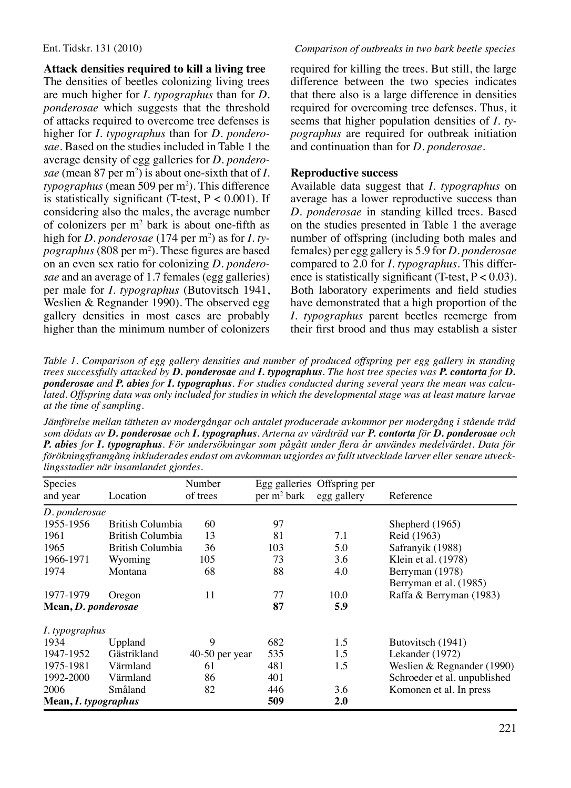# **Attack densities required to kill a living tree**

The densities of beetles colonizing living trees are much higher for *I. typographus* than for *D. ponderosae* which suggests that the threshold of attacks required to overcome tree defenses is higher for *I. typographus* than for *D. ponderosae*. Based on the studies included in Table 1 the average density of egg galleries for *D. ponderosae* (mean 87 per m2 ) is about one-sixth that of *I. typographus* (mean 509 per m<sup>2</sup>). This difference is statistically significant (T-test,  $P < 0.001$ ). If considering also the males, the average number of colonizers per  $m^2$  bark is about one-fifth as high for *D. ponderosae* (174 per m2 ) as for *I. typographus* (808 per m2 ). These figures are based on an even sex ratio for colonizing *D. ponderosae* and an average of 1.7 females (egg galleries) per male for *I. typographus* (Butovitsch 1941, Weslien & Regnander 1990). The observed egg gallery densities in most cases are probably higher than the minimum number of colonizers

required for killing the trees. But still, the large difference between the two species indicates that there also is a large difference in densities required for overcoming tree defenses. Thus, it seems that higher population densities of *I. typographus* are required for outbreak initiation and continuation than for *D. ponderosae*.

# **Reproductive success**

Available data suggest that *I. typographus* on average has a lower reproductive success than *D. ponderosae* in standing killed trees. Based on the studies presented in Table 1 the average number of offspring (including both males and females) per egg gallery is 5.9 for *D. ponderosae* compared to 2.0 for *I. typographus*. This difference is statistically significant (T-test,  $P < 0.03$ ). Both laboratory experiments and field studies have demonstrated that a high proportion of the *I. typographus* parent beetles reemerge from their first brood and thus may establish a sister

*Table 1. Comparison of egg gallery densities and number of produced offspring per egg gallery in standing trees successfully attacked by D. ponderosae and I. typographus. The host tree species was P. contorta for D. ponderosae and P. abies for I. typographus. For studies conducted during several years the mean was calculated. Offspring data was only included for studies in which the developmental stage was at least mature larvae at the time of sampling.* 

*Jämförelse mellan tätheten av modergångar och antalet producerade avkommor per modergång i stående träd som dödats av D. ponderosae och I. typographus. Arterna av värdträd var P. contorta för D. ponderosae och P. abies for I. typographus. För undersökningar som pågått under flera år användes medelvärdet. Data för förökningsframgång inkluderades endast om avkomman utgjordes av fullt utvecklade larver eller senare utvecklingsstadier när insamlandet gjordes.* 

| Species<br>and year  | Location         | Number<br>of trees | $per \, m^2$ bark | Egg galleries Offspring per<br>egg gallery | Reference                    |
|----------------------|------------------|--------------------|-------------------|--------------------------------------------|------------------------------|
| D. ponderosae        |                  |                    |                   |                                            |                              |
| 1955-1956            | British Columbia | 60                 | 97                |                                            | Shepherd (1965)              |
| 1961                 | British Columbia | 13                 | 81                | 7.1                                        | Reid (1963)                  |
| 1965                 | British Columbia | 36                 | 103               | 5.0                                        | Safranyik (1988)             |
| 1966-1971            | Wyoming          | 105                | 73                | 3.6                                        | Klein et al. (1978)          |
| 1974                 | Montana          | 68                 | 88                | 4.0                                        | Berryman (1978)              |
|                      |                  |                    |                   |                                            | Berryman et al. (1985)       |
| 1977-1979            | Oregon           | 11                 | 77                | 10.0                                       | Raffa & Berryman (1983)      |
| Mean, D. ponderosae  |                  |                    | 87                | 5.9                                        |                              |
| I. typographus       |                  |                    |                   |                                            |                              |
| 1934                 | Uppland          | 9                  | 682               | 1.5                                        | Butovitsch (1941)            |
| 1947-1952            | Gästrikland      | 40-50 per year     | 535               | 1.5                                        | Lekander (1972)              |
| 1975-1981            | Värmland         | 61                 | 481               | 1.5                                        | Weslien & Regnander (1990)   |
| 1992-2000            | Värmland         | 86                 | 401               |                                            | Schroeder et al. unpublished |
| 2006                 | Småland          | 82                 | 446               | 3.6                                        | Komonen et al. In press      |
| Mean, I. typographus |                  |                    | 509               | 2.0                                        |                              |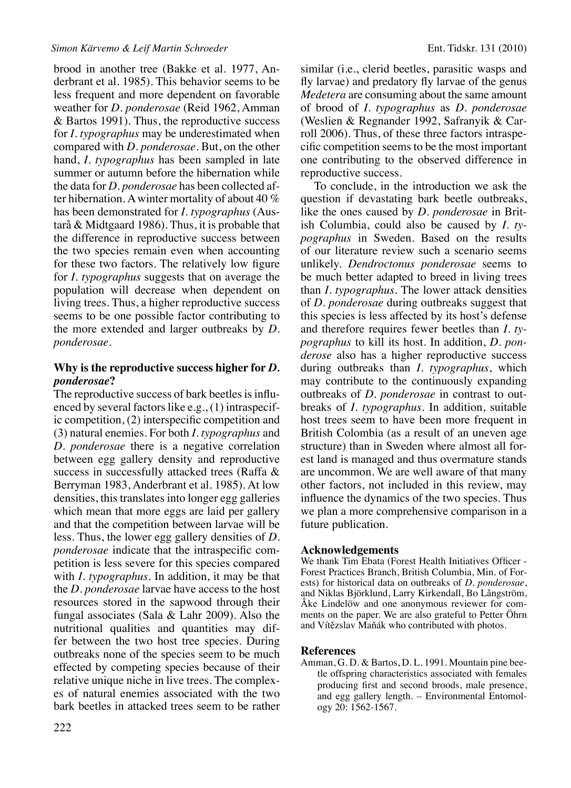brood in another tree (Bakke et al. 1977, Anderbrant et al. 1985). This behavior seems to be less frequent and more dependent on favorable weather for *D. ponderosae* (Reid 1962, Amman & Bartos 1991). Thus, the reproductive success for *I. typographus* may be underestimated when compared with *D. ponderosae*. But, on the other hand, *I. typographus* has been sampled in late summer or autumn before the hibernation while the data for *D. ponderosae* has been collected after hibernation*.* A winter mortality of about 40 % has been demonstrated for *I. typographus* (Austarå & Midtgaard 1986)*.* Thus, it is probable that the difference in reproductive success between the two species remain even when accounting for these two factors. The relatively low figure for *I. typographus* suggests that on average the population will decrease when dependent on living trees. Thus, a higher reproductive success seems to be one possible factor contributing to the more extended and larger outbreaks by *D. ponderosae*.

#### **Why is the reproductive success higher for** *D. ponderosae***?**

The reproductive success of bark beetles is influenced by several factors like e.g., (1) intraspecific competition, (2) interspecific competition and (3) natural enemies. For both *I. typographus* and *D. ponderosae* there is a negative correlation between egg gallery density and reproductive success in successfully attacked trees (Raffa & Berryman 1983, Anderbrant et al. 1985). At low densities, this translates into longer egg galleries which mean that more eggs are laid per gallery and that the competition between larvae will be less. Thus, the lower egg gallery densities of *D. ponderosae* indicate that the intraspecific competition is less severe for this species compared with *I. typographus*. In addition, it may be that the *D. ponderosae* larvae have access to the host resources stored in the sapwood through their fungal associates (Sala & Lahr 2009). Also the nutritional qualities and quantities may differ between the two host tree species. During outbreaks none of the species seem to be much effected by competing species because of their relative unique niche in live trees. The complexes of natural enemies associated with the two bark beetles in attacked trees seem to be rather similar (i.e., clerid beetles, parasitic wasps and fly larvae) and predatory fly larvae of the genus *Medetera* are consuming about the same amount of brood of *I. typographus* as *D. ponderosae* (Weslien & Regnander 1992, Safranyik & Carroll 2006). Thus, of these three factors intraspecific competition seems to be the most important one contributing to the observed difference in reproductive success.

To conclude, in the introduction we ask the question if devastating bark beetle outbreaks, like the ones caused by *D. ponderosae* in British Columbia, could also be caused by *I. typographus* in Sweden. Based on the results of our literature review such a scenario seems unlikely. *Dendroctonus ponderosae* seems to be much better adapted to breed in living trees than *I. typographus*. The lower attack densities of *D. ponderosae* during outbreaks suggest that this species is less affected by its host's defense and therefore requires fewer beetles than *I. typographus* to kill its host. In addition, *D. ponderose* also has a higher reproductive success during outbreaks than *I. typographus*, which may contribute to the continuously expanding outbreaks of *D. ponderosae* in contrast to outbreaks of *I. typographus*. In addition, suitable host trees seem to have been more frequent in British Colombia (as a result of an uneven age structure) than in Sweden where almost all forest land is managed and thus overmature stands are uncommon. We are well aware of that many other factors, not included in this review, may influence the dynamics of the two species. Thus we plan a more comprehensive comparison in a future publication.

#### **Acknowledgements**

We thank Tim Ebata (Forest Health Initiatives Officer - Forest Practices Branch, British Columbia, Min. of Forests) for historical data on outbreaks of *D. ponderosae*, and Niklas Björklund, Larry Kirkendall, Bo Långström, Åke Lindelöw and one anonymous reviewer for comments on the paper. We are also grateful to Petter Öhrn and Vítězslav Maňák who contributed with photos.

#### **References**

Amman, G. D. & Bartos, D. L. 1991. Mountain pine beetle offspring characteristics associated with females producing first and second broods, male presence, and egg gallery length. – Environmental Entomology 20: 1562-1567.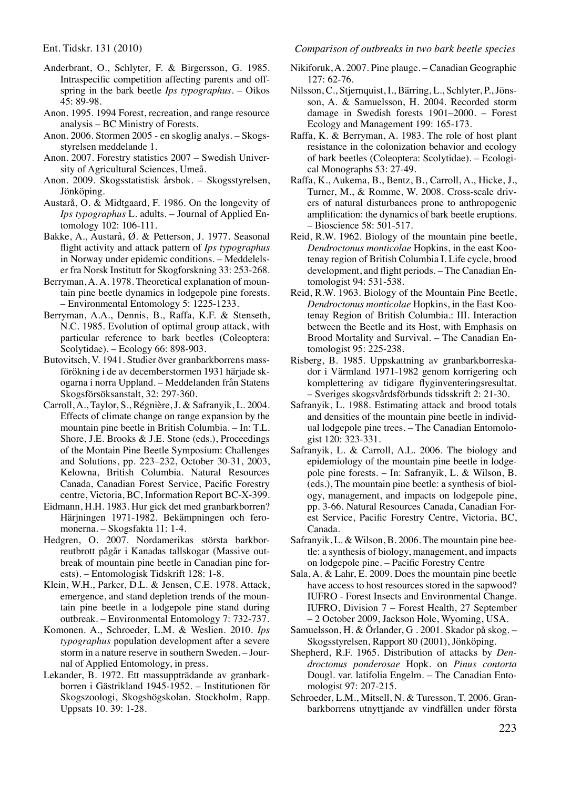- Anderbrant, O., Schlyter, F. & Birgersson, G. 1985. Intraspecific competition affecting parents and offspring in the bark beetle *Ips typographus*. – Oikos 45: 89-98.
- Anon. 1995. 1994 Forest, recreation, and range resource analysis – BC Ministry of Forests.
- Anon. 2006. Stormen 2005 en skoglig analys. Skogsstyrelsen meddelande 1.
- Anon. 2007. Forestry statistics 2007 Swedish University of Agricultural Sciences, Umeå.
- Anon. 2009. Skogsstatistisk årsbok. Skogsstyrelsen, Jönköping.
- Austarå, O. & Midtgaard, F. 1986. On the longevity of *Ips typographus* L. adults. – Journal of Applied Entomology 102: 106-111.
- Bakke, A., Austarå, Ø. & Petterson, J. 1977. Seasonal flight activity and attack pattern of *Ips typographus* in Norway under epidemic conditions. – Meddelelser fra Norsk Institutt for Skogforskning 33: 253-268.
- Berryman, A. A. 1978. Theoretical explanation of mountain pine beetle dynamics in lodgepole pine forests. – Environmental Entomology 5: 1225-1233.
- Berryman, A.A., Dennis, B., Raffa, K.F. & Stenseth, N.C. 1985. Evolution of optimal group attack, with particular reference to bark beetles (Coleoptera: Scolytidae). – Ecology 66: 898-903.
- Butovitsch, V. 1941. Studier över granbarkborrens massförökning i de av decemberstormen 1931 härjade skogarna i norra Uppland. – Meddelanden från Statens Skogsförsöksanstalt, 32: 297-360.
- Carroll, A., Taylor, S., Régnière, J. & Safranyik, L. 2004. Effects of climate change on range expansion by the mountain pine beetle in British Columbia. – In: T.L. Shore, J.E. Brooks & J.E. Stone (eds.), Proceedings of the Montain Pine Beetle Symposium: Challenges and Solutions, pp. 223–232, October 30-31, 2003, Kelowna, British Columbia. Natural Resources Canada, Canadian Forest Service, Pacific Forestry centre, Victoria, BC, Information Report BC-X-399.
- Eidmann, H.H. 1983. Hur gick det med granbarkborren? Härjningen 1971-1982. Bekämpningen och feromonerna. – Skogsfakta 11: 1-4.
- Hedgren, O. 2007. Nordamerikas största barkborreutbrott pågår i Kanadas tallskogar (Massive outbreak of mountain pine beetle in Canadian pine forests). – Entomologisk Tidskrift 128: 1-8.
- Klein, W.H., Parker, D.L. & Jensen, C.E. 1978. Attack, emergence, and stand depletion trends of the mountain pine beetle in a lodgepole pine stand during outbreak. – Environmental Entomology 7: 732-737.
- Komonen. A., Schroeder, L.M. & Weslien. 2010. *Ips typographus* population development after a severe storm in a nature reserve in southern Sweden. – Journal of Applied Entomology, in press.
- Lekander, B. 1972. Ett massuppträdande av granbarkborren i Gästrikland 1945-1952. – Institutionen för Skogszoologi, Skogshögskolan. Stockholm, Rapp. Uppsats 10. 39: 1-28.

Ent. Tidskr. 131 (2010) *Comparison of outbreaks in two bark beetle species*

- Nikiforuk, A. 2007. Pine plauge. Canadian Geographic 127: 62-76.
- Nilsson, C., Stjernquist, I., Bärring, L., Schlyter, P., Jönsson, A. & Samuelsson, H. 2004. Recorded storm damage in Swedish forests 1901–2000. – Forest Ecology and Management 199: 165-173.
- Raffa, K. & Berryman, A. 1983. The role of host plant resistance in the colonization behavior and ecology of bark beetles (Coleoptera: Scolytidae). – Ecological Monographs 53: 27-49.
- Raffa, K., Aukema, B., Bentz, B., Carroll, A., Hicke, J., Turner, M., & Romme, W. 2008. Cross-scale drivers of natural disturbances prone to anthropogenic amplification: the dynamics of bark beetle eruptions. – Bioscience 58: 501-517.
- Reid, R.W. 1962. Biology of the mountain pine beetle, *Dendroctonus monticolae* Hopkins, in the east Kootenay region of British Columbia I. Life cycle, brood development, and flight periods. – The Canadian Entomologist 94: 531-538.
- Reid, R.W. 1963. Biology of the Mountain Pine Beetle, *Dendroctonus monticolae* Hopkins, in the East Kootenay Region of British Columbia.: III. Interaction between the Beetle and its Host, with Emphasis on Brood Mortality and Survival. – The Canadian Entomologist 95: 225-238.
- Risberg, B. 1985. Uppskattning av granbarkborreskador i Värmland 1971-1982 genom korrigering och komplettering av tidigare flyginventeringsresultat. – Sveriges skogsvårdsförbunds tidsskrift 2: 21-30.
- Safranyik, L. 1988. Estimating attack and brood totals and densities of the mountain pine beetle in individual lodgepole pine trees. – The Canadian Entomologist 120: 323-331.
- Safranyik, L. & Carroll, A.L. 2006. The biology and epidemiology of the mountain pine beetle in lodgepole pine forests. – In: Safranyik, L. & Wilson, B. (eds.), The mountain pine beetle: a synthesis of biology, management, and impacts on lodgepole pine, pp. 3-66. Natural Resources Canada, Canadian Forest Service, Pacific Forestry Centre, Victoria, BC, Canada.
- Safranyik, L. & Wilson, B. 2006. The mountain pine beetle: a synthesis of biology, management, and impacts on lodgepole pine. – Pacific Forestry Centre
- Sala, A. & Lahr, E. 2009. Does the mountain pine beetle have access to host resources stored in the sapwood? IUFRO - Forest Insects and Environmental Change. IUFRO, Division 7 – Forest Health, 27 September – 2 October 2009, Jackson Hole, Wyoming, USA.
- Samuelsson, H. & Örlander, G . 2001. Skador på skog. Skogsstyrelsen, Rapport 80 (2001), Jönköping.
- Shepherd, R.F. 1965. Distribution of attacks by *Dendroctonus ponderosae* Hopk. on *Pinus contorta* Dougl. var. latifolia Engelm. – The Canadian Entomologist 97: 207-215.
- Schroeder, L.M., Mitsell, N. & Turesson, T. 2006. Granbarkborrens utnyttjande av vindfällen under första